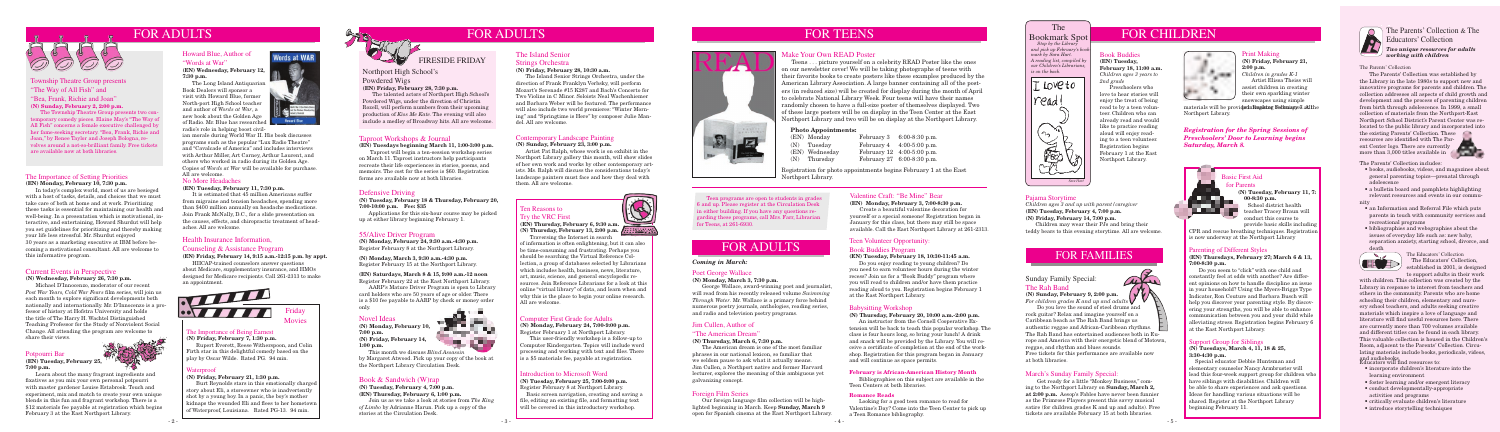

#### Health Insurance Information,

### Counseling & Assistance Program

**(EN) Friday, February 14, 9:15 a.m.-12:15 p.m. by appt.**

HIICAP-trained counselors answer questions about Medicare, supplementary insurance, and HMOs designed for Medicare recipients. Call 261-2313 to make an appointment.

Bookmark Spot

 *Stop by the Library and pick up February's bookmark by Sara Hart. A reading list, compiled by our Children's Librarians, is on the back.*



# FOR TEENS FOR THE Bookmark Spot FOR CHILDREN

#### Computer First Grade for Adults

#### **(N) Monday, February 24, 7:00-9:00 p.m.** Register February 1 at Northport Library.

 This user-friendly workshop is a follow-up to Computer Kindergarten. Topics will include word processing and working with text and files. There is a \$5 materials fee, payable at registration.

#### Basic First Aid for Parents **(N) Tuesday, February 11, 7: 00-8:30 p.m.** School district health teacher Tracey Braun will conduct this course to

provide basic skills including CPR and rescue breathing techniques. Registration is now underway at the Northport Library

## Defensive Driving

The Rah Band<br>(N) Sunday, February 9, 2:00 p.m. **(N) Sunday, February 9, 2:00 p.m.** 

**(N) Tuesday, February 18 & Thursday, February 20, 7:00-10:00 p.m. Fee: \$35** 

 Applications for this six-hour course may be picked up at either library beginning February 1.

## 55/Alive Driver Program

**(N) Monday, February 24, 9:30 a.m.-4:30 p.m.** Register February 8 at the Northport Library.

**(N) Monday, March 3, 9:30 a.m.-4:30 p.m.** Register February 15 at the Northport Library.

## **(EN) Saturdays, March 8 & 15, 9:00 a.m.-12 noon**

Register February 22 at the East Northport Library. AARP's Mature Driver Program is open to Library

card holders who are 50 years of age or older. There is a \$10 fee payable to AARP by check or money order only.

# **Service State**

#### Township Theatre Group presents "The Way of All Fish" and "Bea, Frank, Richie and Joan"

**(N) Sunday, February 2, 2:00 p.m.**

 The Township Theatre Group presents two contemporary comedy pieces. Elaine May's "The Way of All Fish" concerns a female executive challenged by her fame-seeking secretary. "Bea, Frank, Richie and Joan," by Renee Taylor and Joseph Bologna, revolves around a not-so-brilliant family. Free tickets are available now at both libraries.

# FOR FAMILIES

Sunday Family Special:

*For children grades K and up and adults* Do you love the sound of steel drums and rock guitar? Relax and imagine yourself on a Caribbean beach as The Rah Band brings us authentic reggae and African-Caribbean rhythms. The Rah Band has entertained audiences both in Europe and America with their energetic blend of Motown, reggae, and rhythm and blues sounds. Free tickets for this performance are available now at both libraries.

#### March's Sunday Family Special:

 Get ready for a little "Monkey Business," coming to the Northport Library on **Sunday, March 2, at 2:00 p.m.** Aesop's Fables have never been funnier as the Primrose Players present this savvy musical satire (for children grades K and up and adults). Free tickets are available February 15 at both libraries.



#### Teen Volunteer Opportunity:

# Book Buddies Program

## **(EN) Tuesday, February 18, 10:30-11:45 a.m.**

 Do you enjoy reading to young children? Do you need to earn volunteer hours during the winter recess? Join us for a "Book Buddy" program where you will read to children and/or have them practice reading aloud to you. Registration begins February 1 at the East Northport Library.

#### Babysitting Workshop

#### **(N) Thursday, February 20, 10:00 a.m.-2:00 p.m.**

 An instructor from the Cornell Cooperative Extension will be back to teach this popular workshop. The class is four hours long, so bring your lunch! A drink and snack will be provided by the Library. You will receive a certificate of completion at the end of the workshop. Registration for this program began in January and will continue as space permits.

#### Novel Ideas

**(N) Monday, February 10, 7:00 p.m. (N) Friday, February 14, 1:00 p.m.**



 This month we discuss *Blind Assassin* by Margaret Atwood. Pick up your copy of the book at the Northport Library Circulation Desk.

## Book & Sandwich (W)rap

**(N) Tuesday, February 4, 7:00 p.m. (EN) Thursday, February 6, 1:00 p.m.**

Join us as we take a look at stories from *The King of Limbo* by Adrianne Harun. Pick up a copy of the stories at the Circulation Desk.

# FIRESIDE FRIDAY

Northport High School's

Powdered Wigs

**(EN) Friday, February 28, 7:30 p.m.**

 The talented actors of Northport High School's Powdered Wigs, under the direction of Christin Rozell, will perform numbers from their upcoming production of *Kiss Me Kate*. The evening will also include a medley of Broadway hits. All are welcome.

> Teen programs are open to students in grades 6 and up. Please register at the Circulation Desk in either building. If you have any questions regarding these programs, call Mrs. Farr, Librarian for Teens, at 261-6930.

#### Print Making

**(N) Friday, February 21, 2:00 p.m.** *Children in grades K-1*

 Artist Elissa Theiss will assist children in creating their own sparkling winter snowscapes using simple

#### Valentine Craft: "Be Mine" Bear

#### **(EN) Monday, February 3, 7:00-8:30 p.m.**

 Create a beautiful valentine decoration for yourself or a special someone! Registration began in January for this class, but there may still be space available. Call the East Northport Library at 261-2313.

#### Howard Blue, Author of "Words at War"

#### **(EN) Wednesday, February 12, 7:30 p.m.**

 The Long Island Antiquarian Book Dealers will sponsor a visit with Howard Blue, former North-port High School teacher and author of *Words at War*, a new book about the Golden Age of Radio. Mr. Blue has research radio's role in helping boost civil-

## Taproot Workshops & Journal

**(EN) Tuesdays beginning March 11, 1:00-3:00 p.m.**

 Taproot will begin a ten-session workshop series on March 11. Taproot instructors help participants recreate their life experiences in stories, poems, and memoirs. The cost for the series is \$60. Registration forms are available now at both libraries.

#### Support Group for Siblings

#### **(N) Tuesdays, March 4, 11, 18 & 25, 3:30-4:30 p.m.**

 Special educator Debbie Huntsman and elementary counselor Nancy Armbruster will lead this four-week support group for children who have siblings with disabilities. Children will be able to share experiences and ask questions. Ideas for handling various situations will be shared. Register at the Northport Library beginning February 11.



#### Parenting of Different Styles

**(EN) Thursdays, February 27; March 6 & 13, 7:00-8:30 p.m.**

- incorporate children's literature into the learning environment
- foster learning and/or emergent literacy
- conduct developmentally-appropriate activities and programs
- critically evaluate children's literature
- introduce storytelling techniques

 Do you seem to "click" with one child and constantly feel at odds with another? Are different opinions on how to handle discipline an issue in your household? Using the Myers-Briggs Type Indicator, Ron Couture and Barbara Busch will help you discover your parenting style. By discovering your strengths, you will be able to enhance communication between you and your child while alleviating stress. Registration begins February 6 at the East Northport Library.

#### The Parents' Collection & The Educators' Collection *Two unique resources for adults working with children*

#### The Importance of Setting Priorities **(EN) Monday, February 10, 7:30 p.m.**

 In today's complex world, most of us are besieged with a host of tasks, details, and choices that we must take care of both at home and at work. Prioritizing these tasks is essential for maintaining our health and well-being. In a presentation which is motivational, interactive, and entertaining, Howard Shurdut will help you set guidelines for prioritizing and thereby making your life less stressful. Mr. Shurdut enjoyed 30 years as a marketing executive at IBM before becoming a motivational consultant. All are welcome to this informative program.

#### No More Headaches

ED established in 2001, is designed to support adults in their work with children. This collection was created by the Library in response to interest from teachers and others in the community. Parents who are home schooling their children, elementary and nursery school teachers, and adults seeking creative materials which inspire a love of language and literature will find useful resources here. There are currently more than 700 volumes available and different titles can be found in each library. This valuable collection is housed in the Children's Room, adjacent to the Parents' Collection. Circulating materials include books, periodicals, videos, Educators will find resources to: and audiobooks.

#### **(EN) Tuesday, February 11, 7:30 p.m.**

 It is estimated that 45 million Americans suffer from migraine and tension headaches, spending more than \$400 million annually on headache medications. Join Frank McNally, D.C., for a slide presentation on the causes, effects, and chiropractic treatment of headaches. All are welcome.

materials will be provid**ed. Registeg Fethniques. All** the Northport Library.

#### Poet George Wallace

**(N) Monday, March 3, 7:30 p.m.**

 George Wallace, award-winning poet and journalist, will read from his recently released volume *Swimming Through Water*. Mr. Wallace is a primary force behind numerous poetry journals, anthologies, reading series, and radio and television poetry programs.

#### The Island Senior

#### Strings Orchestra

#### **(N) Friday, February 28, 10:30 a.m.**

 The Island Senior Strings Orchestra, under the direction of Frank Franklyn Verbsky, will perform Mozart's Serenade #15 K287 and Bach's Concerto for Two Violins in C Minor. Soloists Neal Wachenhiemer and Barbara Weber will be featured. The performance will also include two world premieres: "Winter Morning" and "Springtime is Here" by composer Julie Mandel. All are welcome.

#### Make Your Own READ Poster

 Teens . . . picture yourself on a celebrity READ Poster like the ones on our newsletter cover! We will be taking photographs of teens with their favorite books to create posters like these examples produced by the American Library Association. A large banner containing all of the posters (in reduced size) will be created for display during the month of April to celebrate National Library Week. Four teens will have their names randomly chosen to have a full-size poster of themselves displayed. Two of these large posters will be on display in the Teen Center at the East Northport Library and two will be on display at the Northport Library.

#### **February is African-American History Month**

 Bibliographies on this subject are available in the Teen Centers at both libraries.

#### **Romance Reads**

 Looking for a good teen romance to read for Valentine's Day? Come into the Teen Center to pick up a Teen Romance bibliography.



#### Pajama Storytime

*Children ages 3 and up with parent/caregiver* **(EN) Tuesday, February 4, 7:00 p.m. (N) Friday, February 14, 7:00 p.m.**

 Children may wear their PJs and bring their teddy bears to this evening storytime. All are welcome.

#### Book Buddies **(EN) Tuesday,**

**February 18, 11:00 a.m.** *Children ages 3 years to 2nd grade*

 Preschoolers who love to hear stories will enjoy the treat of being read to by a teen volunteer. Children who can already read and would like to practice reading aloud will enjoy reading to a teen volunteer. Registration begins February 1 at the East Northport Library.

alle

*Registration for the Spring Sessions of Preschoolers' Door to Learning begins Saturday, March 8.*

#### The Importance of Being Earnest

**(N) Friday, February 7, 1:30 p.m.** Rupert Everett, Reese Witherspoon, and Colin Firth star in this delightful comedy based on the play by Oscar Wilde. Rated PG. 94 min.



#### Waterproof

#### **(N) Friday, February 21, 1:30 p.m.**

Burt Reynolds stars in this emotionally charged story about Eli, a storeowner who is inadvertently shot by a young boy. In a panic, the boy's mother kidnaps the wounded Eli and flees to her hometown of Waterproof, Louisiana. Rated PG-13. 94 min.



**Howard Blue** 

#### Introduction to Microsoft Word

#### **(N) Tuesday, February 25, 7:00-9:00 p.m.**

Register February 8 at Northport Library. Basic screen navigation, creating and saving a file, editing an existing file, and formatting text will be covered in this introductory workshop.



#### Ten Reasons to Try the VRC First

**(EN) Thursday, February 6, 9:30 a.m. (N) Thursday, February 13, 2:00 p.m.**

 Traversing the Internet in search of information is often enlightening, but it can also be time-consuming and frustrating. Perhaps you should be searching the Virtual Reference Collection, a group of databases selected by Librarians which includes health, business, news, literature, art, music, science, and general encyclopedic resources. Join Reference Librarians for a look at this online "virtual library" of data, and learn when and why this is the place to begin your online research. All are welcome.

#### Jim Cullen, Author of

#### "The American Dream"

#### **(N) Thursday, March 6, 7:30 p.m.**

 The American dream is one of the most familiar phrases in our national lexicon, so familiar that we seldom pause to ask what it actually means. Jim Cullen, a Northport native and former Harvard lecturer, explores the meaning of this ambiguous yet galvanizing concept.

#### Potpourri Bar

#### **(EN) Tuesday, February 25, 7:00 p.m.**

 Learn about the many fragrant ingredients and fixatives as you mix your own personal potpourri with master gardener Louise Estabrook. Touch and experiment, mix and match to create your own unique blends in this fun and fragrant workshop. There is a \$12 materials fee payable at registration which begins February 3 at the East Northport Library.

#### **Photo Appointments:**

|  | (EN) Monday    | February 3 $6:00-8:30$ p.m. |
|--|----------------|-----------------------------|
|  | $(N)$ Tuesday  | February 4 $4:00-5:00$ p.m. |
|  | (EN) Wednesday | February 12 4:00-5:00 p.m.  |
|  | $(N)$ Thursday | February 27 6:00-8:30 p.m.  |
|  |                |                             |

## Contemporary Landscape Painting

#### **(N) Sunday, February 23, 3:00 p.m.**

 Artist Pat Ralph, whose work is on exhibit in the Northport Library gallery this month, will show slides of her own work and works by other contemporary artists. Ms. Ralph will discuss the considerations today's landscape painters must face and how they deal with them. All are welcome.

The Educators' Collection The Educators' Collection,

- 
- 
- an Information and Referral File which puts parents in touch with community services and recreational programs
- bibliographies and webographies about the issues of everyday life such as: new baby, separation anxiety, starting school, divorce, and death



#### The Parents' Collection

The Parents' Collection includes: • books, audiobooks, videos, and magazines about general parenting topics—prenatal through adolescence • a bulletin board and pamphlets highlighting relevant resources and events in our community The Parents' Collection was established by the Library in the late 1980s to support new and innovative programs for parents and children. The collection addresses all aspects of child growth and development and the process of parenting children from birth through adolescence. In 1999, a small collection of materials from the Northport-East Northport School District's Parent Center was relocated to the public library and incorporated into the existing Parents' Collection. These resources are identified with The Parent Center logo. There are currently more than 3,000 titles available in

ian morale during World War II. His book discusses programs such as the popular "Lux Radio Theatre" and "Cavalcade of America" and includes interviews with Arthur Miller, Art Carney, Arthur Laurent, and others who worked in radio during its Golden Age. Copies of *Words at War* will be available for purchase. All are welcome.

# FOR ADULTS

#### *Coming in March:*

#### Foreign Film Series

 Our foreign language film collection will be highlighted beginning in March. Keep **Sunday, March 9** open for Spanish cinema at the East Northport Library.

#### Current Events in Perspective

#### **(N) Wednesday, February 26, 7:30 p.m.**

 Michael D'Innocenzo, moderator of our recent *Post War Years, Cold War Fears* film series, will join us each month to explore significant developments both nationally and internationally. Mr. D'Innocenzo is a professor of history at Hofstra University and holds the title of The Harry H. Wachtel Distinguished Teaching Professor for the Study of Nonviolent Social Change. All attending the program are welcome to share their views.

Registration for photo appointments begins February 1 at the East Northport Library.